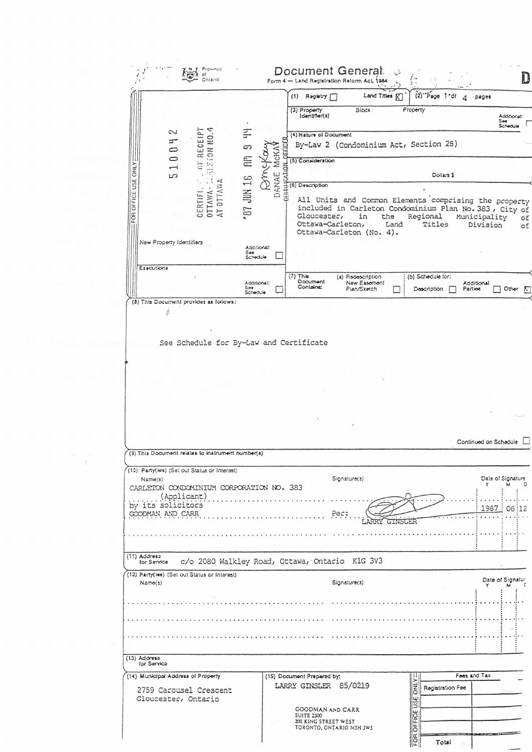|                                                         |                                     |                                                                                          |                                |               | Registry [<br>(1)                                                                                                                                                              |                                                  | Land Titles <b>K</b> |                | $(2)^{-1}$ Page 1-df             | 4 | pages                    |                                                         |
|---------------------------------------------------------|-------------------------------------|------------------------------------------------------------------------------------------|--------------------------------|---------------|--------------------------------------------------------------------------------------------------------------------------------------------------------------------------------|--------------------------------------------------|----------------------|----------------|----------------------------------|---|--------------------------|---------------------------------------------------------|
|                                                         |                                     |                                                                                          |                                |               | (3) Property<br>Identifier(s)                                                                                                                                                  | Block                                            |                      | Property       |                                  |   |                          | Additional:<br>S⇔e<br>Schedule                          |
|                                                         | 2<br>与<br>$\circ$                   | ETON NO.4<br>GF RECEIPT                                                                  | Ξ<br>9                         | <b>REFICE</b> | (4) Nature of Document<br>By-Law 2 (Condominium Act, Section 28)                                                                                                               |                                                  |                      |                |                                  |   |                          |                                                         |
| ONLY:                                                   | $\circ$<br>$\overline{\phantom{0}}$ | $\vec{r}$                                                                                | ckaw<br>E                      | <b>McKA</b>   | (5) Consideration                                                                                                                                                              |                                                  |                      |                |                                  |   |                          |                                                         |
|                                                         | 5                                   | QŚ.                                                                                      | E<br>E                         | DANAE         | ESCOREOFIEK<br>CONFIDENTIAL<br>CONFIDENTIAL<br>CONFIDENTIAL<br>CONFIDENTIAL<br>CONFIDENTIAL<br>CONFIDENTIAL                                                                    |                                                  |                      |                | Dollars \$                       |   |                          |                                                         |
| OFFICE USE<br>FOR                                       |                                     | AT OTTAWA<br>OTTAWA-<br>CERTIFI.                                                         | 87 JUN 16                      |               | All Units and Common Elements comprising the property<br>included in Carleton Condominium Plan No. 383, City of<br>Gloucester,<br>Ottawa-Carleton,<br>Ottawa-Carleton (No. 4). | in                                               | the<br>Land          |                | Regional<br>Titles               |   | Municipality<br>Division |                                                         |
| New Property Identifiers                                |                                     |                                                                                          | Additional:<br>See<br>Schedule |               |                                                                                                                                                                                |                                                  |                      |                |                                  |   |                          |                                                         |
| Executions                                              |                                     |                                                                                          | Additional:<br>Soe<br>Schedule |               | $(7)$ This<br>Document<br>Contains:                                                                                                                                            | (a) Redescription<br>New Easement<br>Plan/Sketch | $\mathbf{r}$         |                | (b) Schedule for:<br>Description |   | Additional<br>Parties    | Other                                                   |
|                                                         | y                                   | (8) This Document provides as follows:                                                   |                                |               |                                                                                                                                                                                |                                                  |                      |                |                                  |   |                          |                                                         |
|                                                         |                                     |                                                                                          |                                |               |                                                                                                                                                                                |                                                  |                      |                |                                  |   |                          |                                                         |
|                                                         |                                     |                                                                                          |                                |               |                                                                                                                                                                                |                                                  |                      |                |                                  |   |                          |                                                         |
|                                                         |                                     |                                                                                          |                                |               |                                                                                                                                                                                |                                                  |                      |                |                                  |   |                          |                                                         |
|                                                         |                                     | (9) This Document relates to instrument number(s)                                        |                                |               |                                                                                                                                                                                |                                                  |                      |                |                                  |   | Continued on Schadule    |                                                         |
| Name(s)                                                 |                                     | (10) Party(les) (Set out Status or Interest)<br>CARLETON CONDOMINIUM CORPORATION NO. 383 |                                |               |                                                                                                                                                                                | Signatur <sub>0</sub> (3)                        |                      |                |                                  |   | Y                        | м                                                       |
|                                                         | (Applicant)                         |                                                                                          |                                |               |                                                                                                                                                                                | Pec:                                             |                      |                |                                  |   |                          |                                                         |
|                                                         |                                     |                                                                                          |                                |               |                                                                                                                                                                                |                                                  | .                    |                |                                  |   |                          |                                                         |
| for Service                                             |                                     |                                                                                          |                                |               | c/o 2080 Walkley Road, Ottawa, Ontario KlG 3V3                                                                                                                                 |                                                  |                      |                |                                  |   |                          |                                                         |
| Name(s)                                                 |                                     | (12) Party(les) (Set out Status or Interest)                                             |                                |               |                                                                                                                                                                                | Signature(s)                                     |                      |                |                                  |   | Y                        |                                                         |
|                                                         |                                     |                                                                                          |                                |               |                                                                                                                                                                                |                                                  |                      |                |                                  |   |                          |                                                         |
|                                                         |                                     |                                                                                          |                                |               |                                                                                                                                                                                |                                                  |                      |                |                                  |   |                          |                                                         |
| by its solicitors<br>GOODMAN AND CARR<br>$(11)$ Address |                                     |                                                                                          |                                |               |                                                                                                                                                                                |                                                  |                      |                |                                  |   |                          |                                                         |
| $(13)$ Address<br>for Service                           |                                     |                                                                                          |                                |               |                                                                                                                                                                                |                                                  |                      |                |                                  |   |                          |                                                         |
|                                                         |                                     |                                                                                          |                                |               | (15) Document Prepared by:                                                                                                                                                     |                                                  |                      |                |                                  |   | Foes and Tax             |                                                         |
| (14) Municipal Address of Property                      |                                     | 2759 Carousel Crescent                                                                   |                                |               | LARRY GINSLER 85/0219                                                                                                                                                          |                                                  |                      | <b>ONLY</b>    | Registration Fee                 |   |                          |                                                         |
| Gloucester, Ontario                                     |                                     |                                                                                          |                                |               | GOODMAN AND CARR<br><b>SUITE 2300</b><br>200 KING STREET WEST<br>TORONTO, ONTARIO MSH JWS                                                                                      |                                                  |                      | FOR OFFICE USE |                                  |   |                          | Date of Signature<br>1987 : 06 : 12<br>Date of Signatur |

 $\label{eq:2.1} \frac{\partial}{\partial t} \left( \frac{\partial}{\partial t} \right) = \frac{\partial}{\partial t} \left( \frac{\partial}{\partial t} \right)$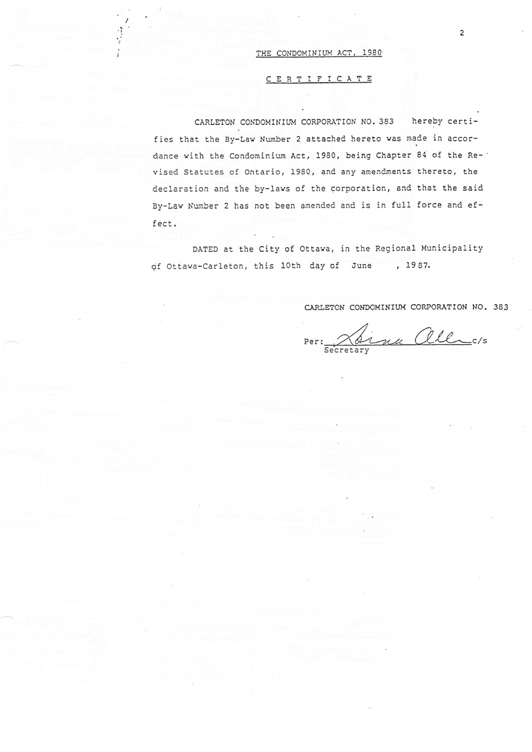## THE CONDOMINIUM ACT, 1980

## CERTIFICATE

CARLETON CONDOMINIUM CORPORATION NO. 383 hereby certifies that the By-Law Number 2 attached hereto was made in accordance with the Condominium Act, 1980, being Chapter 84 of the Revised Statutes of Ontario, 1980, and any amendments thereto, the declaration and the by-laws of the corporation, and that the said By-Law Number 2 has not been amended and is in full force and effect.

DATED at the City of Ottawa, in the Regional Municipality of Ottawa-Carleton, this 10th day of June , 1987.

CARLETON CONDOMINIUM CORPORATION NO. 383

Per: Dinu allers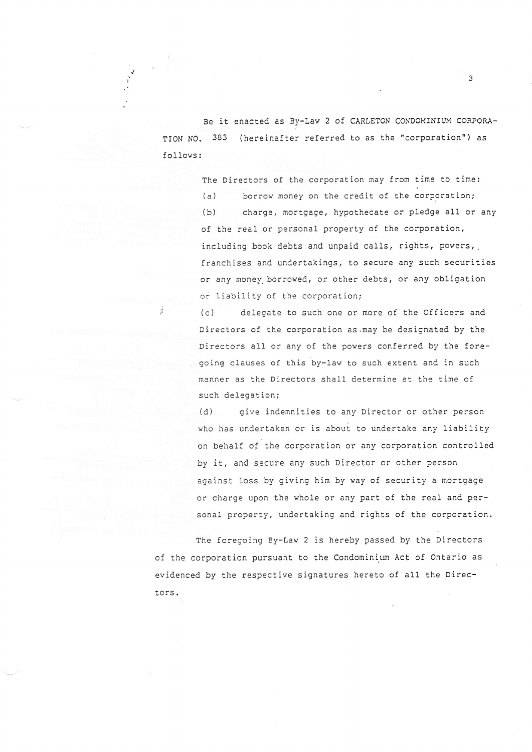Be it enacted as By-Lav 2 of CARLEToN CONDOMINIUM CoRPORA-TION NO. 383 (hereinafter referred to as the "corporation") as fol lovs :

't I

The Directors of the corporation may from time to time:

(a) borrow money on the credit of the corporation; (b) charge, mortgage, hypothecate or pledge aII or any of the real or personal property of the corporation, including book debts and unpaid calls, rights, powers, franchises and undertakings, to secure any such securities or any noney. borroved, or other debts, or any obligation or Iiability of the corporation;

(c) delegate to such one or more of the Officers and Directors of the corporation as.may be designated by the Directors all or any of the povers conferred by the foregoing clauses of this by-lav to such extent and in such manner as the Directors shall determine at the time of such delegation;

(d) give indemnities to any Director or other person who has undertaken or is about to undertake any liability on behalf of the corporation or any corporation controlled by it, and secure any such Director or other person against loss by giving him by way of security a mortgage or charge upon the vhole or any part of the real and personal property, undertaking and rights of the corporation.

The foregoing By-Law 2 is hereby passed by the Directors of the corporation pursuant to the Condominium Act of Ontario as evidenced by the respective signatures hereto of all the Directors.

 $\overline{3}$